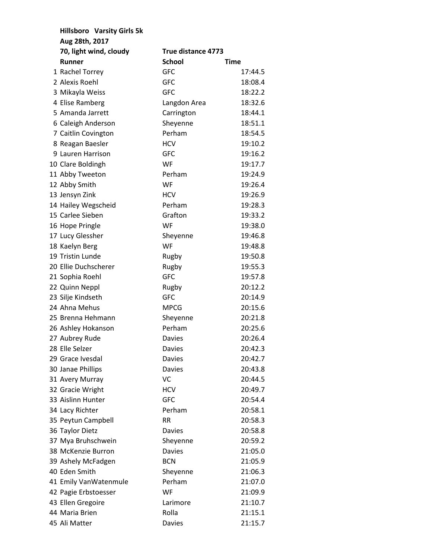| <b>Hillsboro Varsity Girls 5k</b> |                           |         |
|-----------------------------------|---------------------------|---------|
| Aug 28th, 2017                    |                           |         |
| 70, light wind, cloudy            | <b>True distance 4773</b> |         |
| <b>Runner</b>                     | <b>School</b>             | Time    |
| 1 Rachel Torrey                   | <b>GFC</b>                | 17:44.5 |
| 2 Alexis Roehl                    | <b>GFC</b>                | 18:08.4 |
| 3 Mikayla Weiss                   | <b>GFC</b>                | 18:22.2 |
| 4 Elise Ramberg                   | Langdon Area              | 18:32.6 |
| 5 Amanda Jarrett                  | Carrington                | 18:44.1 |
| 6 Caleigh Anderson                | Sheyenne                  | 18:51.1 |
| 7 Caitlin Covington               | Perham                    | 18:54.5 |
| 8 Reagan Baesler                  | <b>HCV</b>                | 19:10.2 |
| 9 Lauren Harrison                 | <b>GFC</b>                | 19:16.2 |
| 10 Clare Boldingh                 | WF                        | 19:17.7 |
| 11 Abby Tweeton                   | Perham                    | 19:24.9 |
| 12 Abby Smith                     | WF                        | 19:26.4 |
| 13 Jensyn Zink                    | <b>HCV</b>                | 19:26.9 |
| 14 Hailey Wegscheid               | Perham                    | 19:28.3 |
| 15 Carlee Sieben                  | Grafton                   | 19:33.2 |
| 16 Hope Pringle                   | <b>WF</b>                 | 19:38.0 |
| 17 Lucy Glessher                  | Sheyenne                  | 19:46.8 |
| 18 Kaelyn Berg                    | <b>WF</b>                 | 19:48.8 |
| 19 Tristin Lunde                  | Rugby                     | 19:50.8 |
| 20 Ellie Duchscherer              | Rugby                     | 19:55.3 |
| 21 Sophia Roehl                   | <b>GFC</b>                | 19:57.8 |
| 22 Quinn Neppl                    | Rugby                     | 20:12.2 |
| 23 Silje Kindseth                 | <b>GFC</b>                | 20:14.9 |
| 24 Ahna Mehus                     | <b>MPCG</b>               | 20:15.6 |
| 25 Brenna Hehmann                 | Sheyenne                  | 20:21.8 |
| 26 Ashley Hokanson                | Perham                    | 20:25.6 |
| 27 Aubrey Rude                    | <b>Davies</b>             | 20:26.4 |
| 28 Elle Selzer                    | <b>Davies</b>             | 20:42.3 |
| 29 Grace Ivesdal                  | Davies                    | 20:42.7 |
| 30 Janae Phillips                 | <b>Davies</b>             | 20:43.8 |
| 31 Avery Murray                   | VC                        | 20:44.5 |
| 32 Gracie Wright                  | <b>HCV</b>                | 20:49.7 |
| 33 Aislinn Hunter                 | <b>GFC</b>                | 20:54.4 |
| 34 Lacy Richter                   | Perham                    | 20:58.1 |
| 35 Peytun Campbell                | <b>RR</b>                 | 20:58.3 |
| 36 Taylor Dietz                   | <b>Davies</b>             | 20:58.8 |
| 37 Mya Bruhschwein                | Sheyenne                  | 20:59.2 |
| 38 McKenzie Burron                | <b>Davies</b>             | 21:05.0 |
| 39 Ashely McFadgen                | <b>BCN</b>                | 21:05.9 |
| 40 Eden Smith                     | Sheyenne                  | 21:06.3 |
| 41 Emily VanWatenmule             | Perham                    | 21:07.0 |
| 42 Pagie Erbstoesser              | <b>WF</b>                 | 21:09.9 |
| 43 Ellen Gregoire                 | Larimore                  | 21:10.7 |
| 44 Maria Brien                    | Rolla                     | 21:15.1 |
| 45 Ali Matter                     | <b>Davies</b>             | 21:15.7 |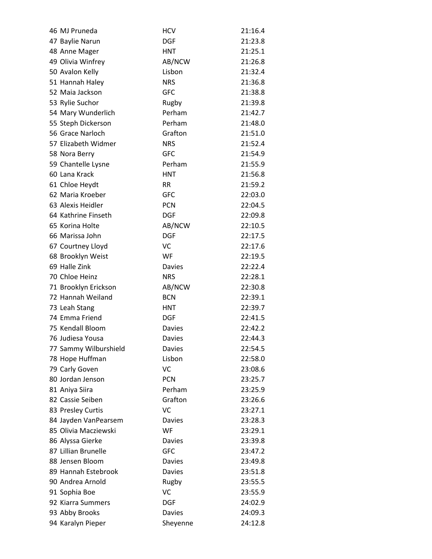| 46 MJ Pruneda         | <b>HCV</b>    | 21:16.4 |
|-----------------------|---------------|---------|
| 47 Baylie Narun       | <b>DGF</b>    | 21:23.8 |
| 48 Anne Mager         | <b>HNT</b>    | 21:25.1 |
| 49 Olivia Winfrey     | AB/NCW        | 21:26.8 |
| 50 Avalon Kelly       | Lisbon        | 21:32.4 |
| 51 Hannah Haley       | <b>NRS</b>    | 21:36.8 |
| 52 Maia Jackson       | <b>GFC</b>    | 21:38.8 |
| 53 Rylie Suchor       | Rugby         | 21:39.8 |
| 54 Mary Wunderlich    | Perham        | 21:42.7 |
| 55 Steph Dickerson    | Perham        | 21:48.0 |
| 56 Grace Narloch      | Grafton       | 21:51.0 |
| 57 Elizabeth Widmer   | <b>NRS</b>    | 21:52.4 |
| 58 Nora Berry         | <b>GFC</b>    | 21:54.9 |
| 59 Chantelle Lysne    | Perham        | 21:55.9 |
| 60 Lana Krack         | <b>HNT</b>    | 21:56.8 |
| 61 Chloe Heydt        | RR.           | 21:59.2 |
| 62 Maria Kroeber      | <b>GFC</b>    | 22:03.0 |
| 63 Alexis Heidler     | <b>PCN</b>    | 22:04.5 |
| 64 Kathrine Finseth   | <b>DGF</b>    | 22:09.8 |
| 65 Korina Holte       | AB/NCW        | 22:10.5 |
| 66 Marissa John       | <b>DGF</b>    | 22:17.5 |
| 67 Courtney Lloyd     | VC            | 22:17.6 |
| 68 Brooklyn Weist     | WF            | 22:19.5 |
| 69 Halle Zink         | <b>Davies</b> | 22:22.4 |
| 70 Chloe Heinz        | <b>NRS</b>    | 22:28.1 |
| 71 Brooklyn Erickson  | AB/NCW        | 22:30.8 |
| 72 Hannah Weiland     | <b>BCN</b>    | 22:39.1 |
| 73 Leah Stang         | <b>HNT</b>    | 22:39.7 |
| 74 Emma Friend        | <b>DGF</b>    | 22:41.5 |
| 75 Kendall Bloom      | <b>Davies</b> | 22:42.2 |
| 76 Judiesa Yousa      | <b>Davies</b> | 22:44.3 |
| 77 Sammy Wilburshield | <b>Davies</b> | 22:54.5 |
| 78 Hope Huffman       | Lisbon        | 22:58.0 |
| 79 Carly Goven        | VC            | 23:08.6 |
| 80 Jordan Jenson      | <b>PCN</b>    | 23:25.7 |
| 81 Aniya Siira        | Perham        | 23:25.9 |
| 82 Cassie Seiben      | Grafton       | 23:26.6 |
| 83 Presley Curtis     | VC            | 23:27.1 |
| 84 Jayden VanPearsem  | <b>Davies</b> | 23:28.3 |
| 85 Olivia Macziewski  | WF            | 23:29.1 |
| 86 Alyssa Gierke      | <b>Davies</b> | 23:39.8 |
| 87 Lillian Brunelle   | <b>GFC</b>    | 23:47.2 |
| 88 Jensen Bloom       | <b>Davies</b> | 23:49.8 |
| 89 Hannah Estebrook   | <b>Davies</b> | 23:51.8 |
| 90 Andrea Arnold      | Rugby         | 23:55.5 |
| 91 Sophia Boe         | VC            | 23:55.9 |
| 92 Kiarra Summers     | <b>DGF</b>    | 24:02.9 |
| 93 Abby Brooks        | <b>Davies</b> | 24:09.3 |
| 94 Karalyn Pieper     | Sheyenne      | 24:12.8 |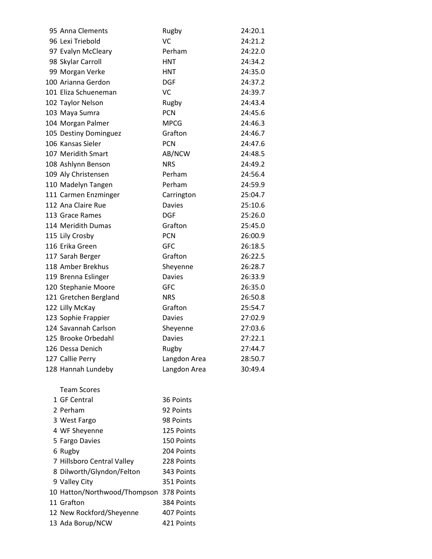| 95 Anna Clements                        | Rugby         | 24:20.1 |
|-----------------------------------------|---------------|---------|
| 96 Lexi Triebold                        | <b>VC</b>     | 24:21.2 |
| 97 Evalyn McCleary                      | Perham        | 24:22.0 |
| 98 Skylar Carroll                       | <b>HNT</b>    | 24:34.2 |
| 99 Morgan Verke                         | <b>HNT</b>    | 24:35.0 |
| 100 Arianna Gerdon                      | <b>DGF</b>    | 24:37.2 |
| 101 Eliza Schueneman                    | VC            | 24:39.7 |
| 102 Taylor Nelson                       | Rugby         | 24:43.4 |
| 103 Maya Sumra                          | <b>PCN</b>    | 24:45.6 |
| 104 Morgan Palmer                       | <b>MPCG</b>   | 24:46.3 |
| 105 Destiny Dominguez                   | Grafton       | 24:46.7 |
| 106 Kansas Sieler                       | <b>PCN</b>    | 24:47.6 |
| 107 Meridith Smart                      | AB/NCW        | 24:48.5 |
| 108 Ashlynn Benson                      | <b>NRS</b>    | 24:49.2 |
| 109 Aly Christensen                     | Perham        | 24:56.4 |
| 110 Madelyn Tangen                      | Perham        | 24:59.9 |
| 111 Carmen Enzminger                    | Carrington    | 25:04.7 |
| 112 Ana Claire Rue                      | <b>Davies</b> | 25:10.6 |
| 113 Grace Rames                         | <b>DGF</b>    | 25:26.0 |
| 114 Meridith Dumas                      | Grafton       | 25:45.0 |
| 115 Lily Crosby                         | <b>PCN</b>    | 26:00.9 |
| 116 Erika Green                         | <b>GFC</b>    | 26:18.5 |
| 117 Sarah Berger                        | Grafton       | 26:22.5 |
| 118 Amber Brekhus                       | Sheyenne      | 26:28.7 |
| 119 Brenna Eslinger                     | <b>Davies</b> | 26:33.9 |
| 120 Stephanie Moore                     | <b>GFC</b>    | 26:35.0 |
| 121 Gretchen Bergland                   | <b>NRS</b>    | 26:50.8 |
| 122 Lilly McKay                         | Grafton       | 25:54.7 |
| 123 Sophie Frappier                     | <b>Davies</b> | 27:02.9 |
| 124 Savannah Carlson                    | Sheyenne      | 27:03.6 |
| 125 Brooke Orbedahl                     | <b>Davies</b> | 27:22.1 |
| 126 Dessa Denich                        | Rugby         | 27:44.7 |
| 127 Callie Perry                        | Langdon Area  | 28:50.7 |
| 128 Hannah Lundeby                      | Langdon Area  | 30:49.4 |
| <b>Team Scores</b>                      |               |         |
| 1 GF Central                            | 36 Points     |         |
| 2 Perham                                | 92 Points     |         |
| 3 West Fargo                            | 98 Points     |         |
| 4 WF Sheyenne                           | 125 Points    |         |
| 5 Fargo Davies                          | 150 Points    |         |
| 6 Rugby                                 | 204 Points    |         |
| 7 Hillsboro Central Valley              | 228 Points    |         |
| 8 Dilworth/Glyndon/Felton               | 343 Points    |         |
| 9 Valley City                           | 351 Points    |         |
| 10 Hatton/Northwood/Thompson 378 Points |               |         |

 Grafton 384 Points 12 New Rockford/Sheyenne 407 Points Ada Borup/NCW 421 Points